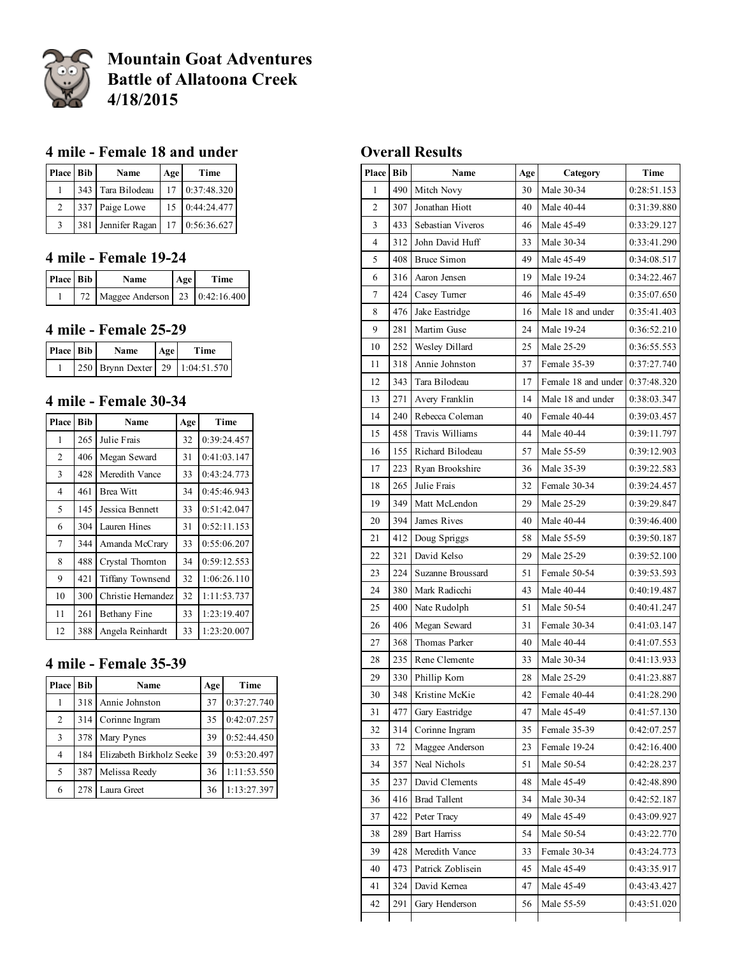

# Mountain Goat Adventures Battle of Allatoona Creek 4/18/2015

## mile Female 18 and under

| Place Bib     |     | Name              | Age | Time           |
|---------------|-----|-------------------|-----|----------------|
|               |     | 343 Tara Bilodeau |     | 17 0:37:48.320 |
| 2             |     | 337 Paige Lowe    |     | 15 0:44:24.477 |
| $\mathcal{R}$ | 381 | Jennifer Ragan    |     | 17 0:56:36.627 |

### 4 mile - Female 19-24

| Place Bib | <b>Name</b>                       | Age | Time |
|-----------|-----------------------------------|-----|------|
|           | 72 Maggee Anderson 23 0:42:16.400 |     |      |

#### 4 mile - Female 25-29

| Place Bib | <b>Name</b>                     | Age | Time |
|-----------|---------------------------------|-----|------|
|           | 250 Brynn Dexter 29 1:04:51.570 |     |      |

## 4 mile - Female 30-34

| Place          | <b>Bib</b> | <b>Name</b>             | Age | Time        |
|----------------|------------|-------------------------|-----|-------------|
| 1              | 265        | Julie Frais             | 32  | 0:39:24.457 |
| 2              | 406        | Megan Seward            | 31  | 0:41:03.147 |
| 3              | 428        | Meredith Vance          | 33  | 0:43:24.773 |
| $\overline{4}$ | 461        | <b>Brea Witt</b>        | 34  | 0:45:46.943 |
| 5              | 145        | Jessica Bennett         | 33  | 0:51:42.047 |
| 6              | 304        | Lauren Hines            | 31  | 0:52:11.153 |
| 7              | 344        | Amanda McCrary          | 33  | 0:55:06.207 |
| 8              | 488        | Crystal Thornton        | 34  | 0:59:12.553 |
| 9              | 421        | <b>Tiffany Townsend</b> | 32  | 1:06:26.110 |
| 10             | 300        | Christie Hernandez      | 32  | 1:11:53.737 |
| 11             | 261        | <b>Bethany Fine</b>     | 33  | 1:23:19.407 |
| 12             | 388        | Angela Reinhardt        | 33  | 1:23:20.007 |

### 4 mile - Female 35-39

| <b>Place</b> | Bib  | Name                     | Age | Time        |
|--------------|------|--------------------------|-----|-------------|
|              | 318  | Annie Johnston           | 37  | 0:37:27.740 |
| 2            | 3141 | Corinne Ingram           | 35  | 0:42:07.257 |
| 3            | 378  | Mary Pynes               | 39  | 0:52:44.450 |
| 4            | 184  | Elizabeth Birkholz Seeke | 39  | 0:53:20.497 |
| 5            | 387  | Melissa Reedy            | 36  | 1:11:53.550 |
| 6            | 278  | Laura Greet              | 36  | 1:13:27.397 |

## Overall Results

| Place          | <b>Bib</b> | Name                | Age | Category            | Time        |
|----------------|------------|---------------------|-----|---------------------|-------------|
| 1              | 490        | Mitch Novy          | 30  | Male 30-34          | 0:28:51.153 |
| $\overline{c}$ | 307        | Jonathan Hiott      | 40  | Male 40-44          | 0:31:39.880 |
| 3              | 433        | Sebastian Viveros   | 46  | Male 45-49          | 0:33:29.127 |
| $\overline{4}$ | 312        | John David Huff     | 33  | Male 30-34          | 0:33:41.290 |
| 5              | 408        | <b>Bruce Simon</b>  | 49  | Male 45-49          | 0:34:08.517 |
| 6              | 316        | Aaron Jensen        | 19  | Male 19-24          | 0:34:22.467 |
| $\tau$         | 424        | Casey Turner        | 46  | Male 45-49          | 0:35:07.650 |
| 8              | 476        | Jake Eastridge      | 16  | Male 18 and under   | 0:35:41.403 |
| 9              | 281        | Martim Guse         | 24  | Male 19-24          | 0:36:52.210 |
| 10             | 252        | Wesley Dillard      | 25  | Male 25-29          | 0:36:55.553 |
| 11             | 318        | Annie Johnston      | 37  | Female 35-39        | 0:37:27.740 |
| 12             | 343        | Tara Bilodeau       | 17  | Female 18 and under | 0:37:48.320 |
| 13             | 271        | Avery Franklin      | 14  | Male 18 and under   | 0:38:03.347 |
| 14             | 240        | Rebecca Coleman     | 40  | Female 40-44        | 0:39:03.457 |
| 15             | 458        | Travis Williams     | 44  | Male 40-44          | 0:39:11.797 |
| 16             | 155        | Richard Bilodeau    | 57  | Male 55-59          | 0:39:12.903 |
| 17             | 223        | Ryan Brookshire     | 36  | Male 35-39          | 0:39:22.583 |
| 18             | 265        | Julie Frais         | 32  | Female 30-34        | 0:39:24.457 |
| 19             | 349        | Matt McLendon       | 29  | Male 25-29          | 0:39:29.847 |
| 20             | 394        | James Rives         | 40  | Male 40-44          | 0:39:46.400 |
| 21             | 412        | Doug Spriggs        | 58  | Male 55-59          | 0:39:50.187 |
| 22             | 321        | David Kelso         | 29  | Male 25-29          | 0:39:52.100 |
| 23             | 224        | Suzanne Broussard   | 51  | Female 50-54        | 0:39:53.593 |
| 24             | 380        | Mark Radicchi       | 43  | Male 40-44          | 0:40:19.487 |
| 25             | 400        | Nate Rudolph        | 51  | Male 50-54          | 0:40:41.247 |
| 26             | 406        | Megan Seward        | 31  | Female 30-34        | 0:41:03.147 |
| 27             | 368        | Thomas Parker       | 40  | Male 40-44          | 0:41:07.553 |
| 28             | 235        | Rene Clemente       | 33  | Male 30-34          | 0:41:13.933 |
| 29             | 330        | Phillip Korn        | 28  | Male 25-29          | 0:41:23.887 |
| 30             | 348        | Kristine McKie      | 42  | Female 40-44        | 0:41:28.290 |
| 31             | 477        | Gary Eastridge      | 47  | Male 45-49          | 0:41:57.130 |
| 32             | 314        | Corinne Ingram      | 35  | Female 35-39        | 0:42:07.257 |
| 33             | 72         | Maggee Anderson     | 23  | Female 19-24        | 0:42:16.400 |
| 34             | 357        | Neal Nichols        | 51  | Male 50-54          | 0:42:28.237 |
| 35             | 237        | David Clements      | 48  | Male 45-49          | 0:42:48.890 |
| 36             | 416        | <b>Brad Tallent</b> | 34  | Male 30-34          | 0:42:52.187 |
| 37             | 422        | Peter Tracy         | 49  | Male 45-49          | 0:43:09.927 |
| 38             | 289        | <b>Bart Harriss</b> | 54  | Male 50-54          | 0:43:22.770 |
| 39             | 428        | Meredith Vance      | 33  | Female 30-34        | 0:43:24.773 |
| 40             | 473        | Patrick Zoblisein   | 45  | Male 45-49          | 0:43:35.917 |
| 41             | 324        | David Kernea        | 47  | Male 45-49          | 0:43:43.427 |
| 42             | 291        | Gary Henderson      | 56  | Male 55-59          | 0:43:51.020 |
|                |            |                     |     |                     |             |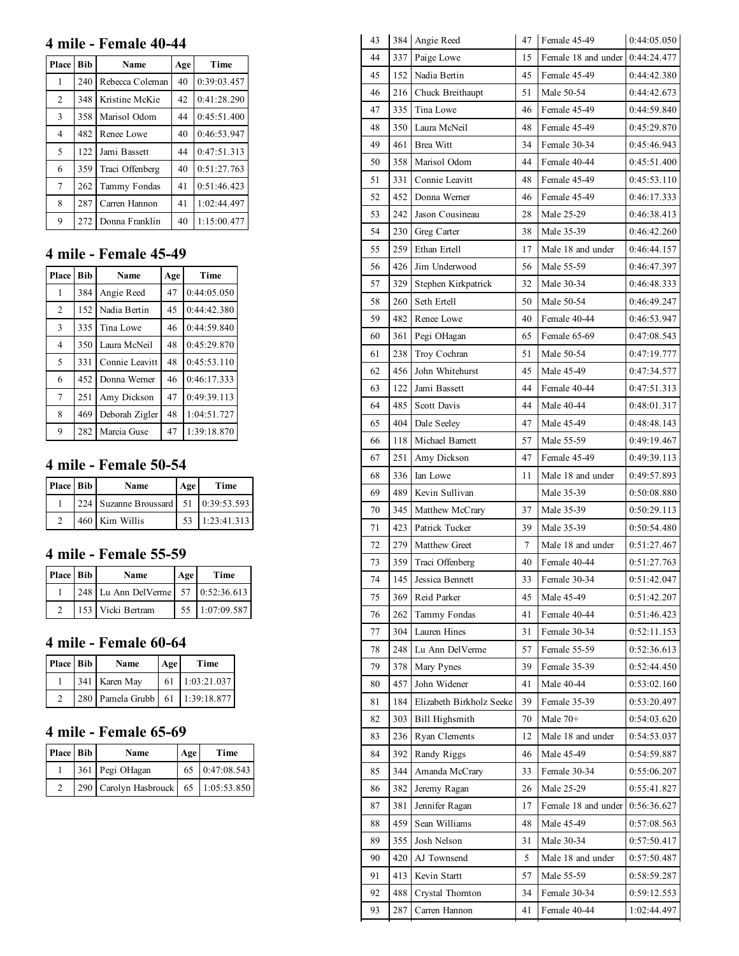### 4 mile - Female 40-44

| Place          | <b>Bib</b> | Name            | Age | Time        |
|----------------|------------|-----------------|-----|-------------|
|                | 240        | Rebecca Coleman | 40  | 0:39:03.457 |
| 2              | 348        | Kristine McKie  | 42  | 0:41:28.290 |
| 3              | 358        | Marisol Odom    | 44  | 0:45:51.400 |
| $\overline{4}$ | 482        | Renee Lowe      | 40  | 0:46:53.947 |
| 5              | 122        | Jami Bassett    | 44  | 0:47:51.313 |
| 6              | 359        | Traci Offenberg | 40  | 0:51:27.763 |
| 7              | 262        | Tammy Fondas    | 41  | 0:51:46.423 |
| 8              | 287        | Carren Hannon   | 41  | 1:02:44.497 |
| 9              | 272        | Donna Franklin  | 40  | 1:15:00.477 |

### 4 mile - Female 45-49

| Place          | Bib | <b>Name</b>    | Age | Time        |
|----------------|-----|----------------|-----|-------------|
|                | 384 | Angie Reed     | 47  | 0:44:05.050 |
| $\overline{c}$ | 152 | Nadia Bertin   | 45  | 0:44:42.380 |
| 3              | 335 | Tina Lowe      | 46  | 0:44:59.840 |
| $\overline{4}$ | 350 | Laura McNeil   | 48  | 0:45:29.870 |
| 5              | 331 | Connie Leavitt | 48  | 0:45:53.110 |
| 6              | 452 | Donna Werner   | 46  | 0:46:17.333 |
| $\tau$         | 251 | Amy Dickson    | 47  | 0:49:39.113 |
| 8              | 469 | Deborah Zigler | 48  | 1:04:51.727 |
| 9              | 282 | Marcia Guse    | 47  | 1:39:18.870 |

### 4 mile - Female 50-54

| Place Bib | Name                                 | Age | Time        |
|-----------|--------------------------------------|-----|-------------|
|           | 224 Suzanne Broussard 51 0:39:53.593 |     |             |
|           | 460 Kim Willis                       |     | 1:23:41.313 |

## 4 mile - Female 55-59

| Place Bib | <b>Name</b>                        | Age | Time           |
|-----------|------------------------------------|-----|----------------|
|           | 248 Lu Ann DelVerme 57 0:52:36.613 |     |                |
|           | 153 Vicki Bertram                  |     | 55 1:07:09.587 |

## 4 mile - Female 60-64

| Place Bib | <b>Name</b>                     | Age | Time           |
|-----------|---------------------------------|-----|----------------|
|           | 341 Karen May                   |     | 61 1:03:21.037 |
|           | 280 Pamela Grubb 61 1:39:18.877 |     |                |

#### 4 mile - Female 65-69

| Place Bib | <b>Name</b>                          | Age | Time           |
|-----------|--------------------------------------|-----|----------------|
|           | 361 Pegi OHagan                      |     | 65 0:47:08.543 |
|           | 290 Carolyn Hasbrouck 65 1:05:53.850 |     |                |

| 43 |     | 384 Angie Reed           | 47 | Female 45-49        | 0:44:05.050 |
|----|-----|--------------------------|----|---------------------|-------------|
| 44 | 337 | Paige Lowe               | 15 | Female 18 and under | 0:44:24.477 |
| 45 | 152 | Nadia Bertin             | 45 | Female 45-49        | 0:44:42.380 |
| 46 | 216 | Chuck Breithaupt         | 51 | Male 50-54          | 0:44:42.673 |
| 47 | 335 | Tina Lowe                | 46 | Female 45-49        | 0:44:59.840 |
| 48 | 350 | Laura McNeil             | 48 | Female 45-49        | 0:45:29.870 |
| 49 | 461 | <b>Brea Witt</b>         | 34 | Female 30-34        | 0:45:46.943 |
| 50 | 358 | Marisol Odom             | 44 | Female 40-44        | 0:45:51.400 |
| 51 | 331 | Connie Leavitt           | 48 | Female 45-49        | 0:45:53.110 |
| 52 | 452 | Donna Werner             | 46 | Female 45-49        | 0:46:17.333 |
| 53 | 242 | Jason Cousineau          | 28 | Male 25-29          | 0:46:38.413 |
| 54 | 230 | Greg Carter              | 38 | Male 35-39          | 0:46:42.260 |
| 55 | 259 | Ethan Ertell             | 17 | Male 18 and under   | 0:46:44.157 |
| 56 | 426 | Jim Underwood            | 56 | Male 55-59          | 0:46:47.397 |
| 57 | 329 | Stephen Kirkpatrick      | 32 | Male 30-34          | 0:46:48.333 |
| 58 | 260 | Seth Ertell              | 50 | Male 50-54          | 0:46:49.247 |
| 59 | 482 | Renee Lowe               | 40 | Female 40-44        | 0:46:53.947 |
| 60 | 361 | Pegi OHagan              | 65 | Female 65-69        | 0:47:08.543 |
| 61 | 238 | Troy Cochran             | 51 | Male 50-54          | 0:47:19.777 |
| 62 | 456 | John Whitehurst          | 45 | Male 45-49          | 0:47:34.577 |
| 63 | 122 | Jami Bassett             | 44 | Female 40-44        | 0:47:51.313 |
| 64 | 485 | Scott Davis              | 44 | Male 40-44          | 0:48:01.317 |
| 65 | 404 | Dale Seeley              | 47 | Male 45-49          | 0:48:48.143 |
| 66 | 118 | Michael Barnett          | 57 | Male 55-59          | 0:49:19.467 |
| 67 | 251 | Amy Dickson              | 47 | Female 45-49        | 0:49:39.113 |
| 68 | 336 | Ian Lowe                 | 11 | Male 18 and under   | 0:49:57.893 |
| 69 | 489 | Kevin Sullivan           |    | Male 35-39          | 0:50:08.880 |
| 70 | 345 | Matthew McCrary          | 37 | Male 35-39          | 0:50:29.113 |
| 71 | 423 | Patrick Tucker           | 39 | Male 35-39          | 0:50:54.480 |
| 72 | 279 | Matthew Greet            | 7  | Male 18 and under   | 0:51:27.467 |
| 73 | 359 | Traci Offenberg          | 40 | Female 40-44        | 0:51:27.763 |
| 74 | 145 | Jessica Bennett          | 33 | Female 30-34        | 0:51:42.047 |
| 75 | 369 | Reid Parker              | 45 | Male 45-49          | 0:51:42.207 |
| 76 | 262 | Tammy Fondas             | 41 | Female 40-44        | 0:51:46.423 |
| 77 | 304 | Lauren Hines             | 31 | Female 30-34        | 0:52:11.153 |
| 78 | 248 | Lu Ann DelVerme          | 57 | Female 55-59        | 0:52:36.613 |
| 79 | 378 | Mary Pynes               | 39 | Female 35-39        | 0:52:44.450 |
| 80 | 457 | John Widener             | 41 | Male 40-44          | 0:53:02.160 |
| 81 | 184 | Elizabeth Birkholz Seeke | 39 | Female 35-39        | 0:53:20.497 |
| 82 | 303 | Bill Highsmith           | 70 | Male 70+            | 0:54:03.620 |
| 83 | 236 | Ryan Clements            | 12 | Male 18 and under   | 0:54:53.037 |
| 84 | 392 | Randy Riggs              | 46 | Male 45-49          | 0:54:59.887 |
| 85 | 344 | Amanda McCrary           | 33 | Female 30-34        | 0:55:06.207 |
| 86 | 382 | Jeremy Ragan             | 26 | Male 25-29          | 0:55:41.827 |
| 87 | 381 | Jennifer Ragan           | 17 | Female 18 and under | 0:56:36.627 |
| 88 | 459 | Sean Williams            | 48 | Male 45-49          | 0:57:08.563 |
| 89 | 355 | Josh Nelson              | 31 | Male 30-34          | 0:57:50.417 |
| 90 | 420 | AJ Townsend              | 5  | Male 18 and under   | 0:57:50.487 |
| 91 | 413 | Kevin Startt             | 57 | Male 55-59          | 0:58:59.287 |
| 92 | 488 | Crystal Thornton         | 34 | Female 30-34        | 0:59:12.553 |
| 93 | 287 | Carren Hannon            | 41 | Female 40-44        | 1:02:44.497 |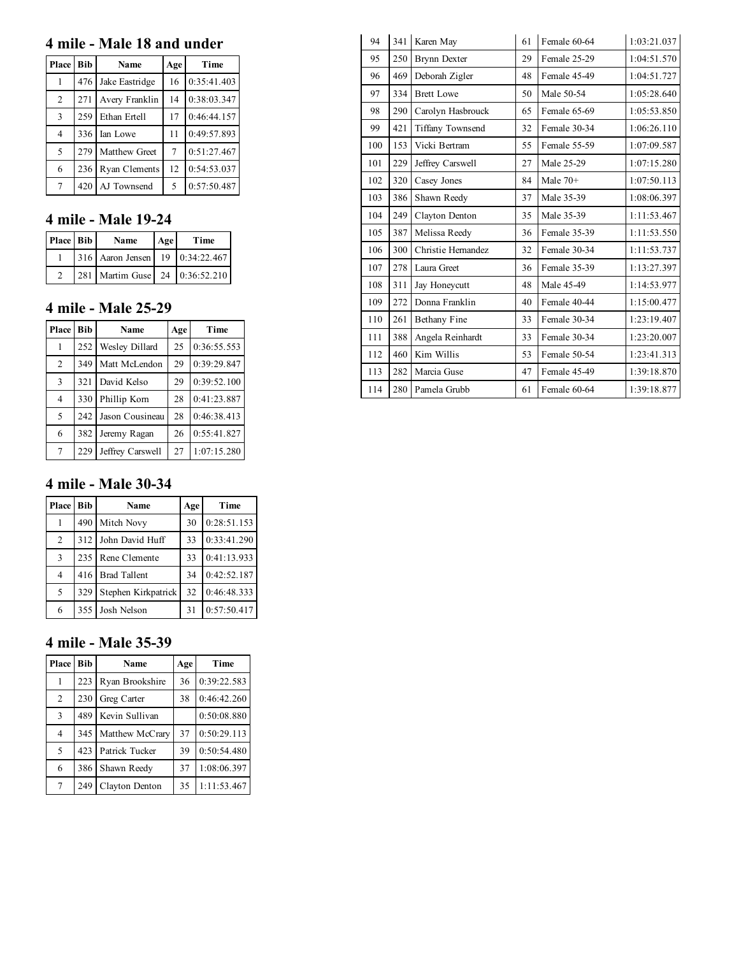### 4 mile - Male 18 and under

| Place Bib      |     | <b>Name</b>    | Age    | Time        |
|----------------|-----|----------------|--------|-------------|
|                | 476 | Jake Eastridge | 16     | 0:35:41.403 |
| $\overline{2}$ | 271 | Avery Franklin | 14     | 0:38:03.347 |
| 3              | 259 | Ethan Ertell   | 17     | 0:46:44.157 |
| 4              | 336 | Ian Lowe       | 11     | 0:49:57.893 |
| 5              | 279 | Matthew Greet  | $\tau$ | 0:51:27.467 |
| 6              | 236 | Ryan Clements  | 12     | 0:54:53.037 |
| 7              | 420 | AJ Townsend    | 5      | 0:57:50.487 |

## 4 mile - Male 19-24

| Place Bib | Name                            | Age | Time |
|-----------|---------------------------------|-----|------|
|           | 316 Aaron Jensen 19 0:34:22.467 |     |      |
|           | 281 Martim Guse 24 0:36:52.210  |     |      |

## 4 mile - Male 25-29

| Place Bib      |     | Name             | Age | Time        |
|----------------|-----|------------------|-----|-------------|
|                | 252 | Wesley Dillard   | 25  | 0:36:55.553 |
| 2              | 349 | Matt McLendon    | 29  | 0:39:29.847 |
| $\mathcal{R}$  | 321 | David Kelso      | 29  | 0:39:52.100 |
| $\overline{4}$ | 330 | Phillip Korn     | 28  | 0:41:23.887 |
| $\overline{5}$ | 242 | Jason Cousineau  | 28  | 0:46:38.413 |
| 6              | 382 | Jeremy Ragan     | 26  | 0:55:41.827 |
|                | 229 | Jeffrey Carswell | 27  | 1:07:15.280 |

### 4 mile - Male 30-34

| Place Bib |     | <b>Name</b>         | Age | Time        |
|-----------|-----|---------------------|-----|-------------|
|           | 490 | Mitch Novy          | 30  | 0:28:51.153 |
| 2         |     | 312 John David Huff | 33  | 0:33:41.290 |
| 3         | 235 | Rene Clemente       | 33  | 0:41:13.933 |
| 4         |     | 416 Brad Tallent    | 34  | 0:42:52.187 |
| 5         | 329 | Stephen Kirkpatrick | 32  | 0:46:48.333 |
| 6         |     | 355 Josh Nelson     | 31  | 0:57:50.417 |

### 4 mile - Male 35-39

| <b>Place</b>             | <b>Bib</b> | <b>Name</b>     | Age | Time        |
|--------------------------|------------|-----------------|-----|-------------|
|                          | 223        | Ryan Brookshire | 36  | 0:39:22.583 |
| $\overline{2}$           | 230        | Greg Carter     | 38  | 0:46:42.260 |
| 3                        | 489        | Kevin Sullivan  |     | 0:50:08.880 |
| 4                        | 345        | Matthew McCrary | 37  | 0:50:29.113 |
| $\overline{\phantom{0}}$ | 423        | Patrick Tucker  | 39  | 0:50:54.480 |
| 6                        | 386        | Shawn Reedy     | 37  | 1:08:06.397 |
| $7\phantom{.0}$          | 249        | Clayton Denton  | 35  | 1:11:53.467 |

| 94  | 341 | Karen May           | 61 | Female 60-64 | 1:03:21.037 |
|-----|-----|---------------------|----|--------------|-------------|
| 95  | 250 | <b>Brynn Dexter</b> | 29 | Female 25-29 | 1:04:51.570 |
| 96  | 469 | Deborah Zigler      |    | Female 45-49 | 1:04:51.727 |
| 97  | 334 | <b>Brett Lowe</b>   | 50 | Male 50-54   | 1:05:28.640 |
| 98  | 290 | Carolyn Hasbrouck   | 65 | Female 65-69 | 1:05:53.850 |
| 99  | 421 | Tiffany Townsend    | 32 | Female 30-34 | 1:06:26.110 |
| 100 | 153 | Vicki Bertram       | 55 | Female 55-59 | 1:07:09.587 |
| 101 | 229 | Jeffrey Carswell    | 27 | Male 25-29   | 1:07:15.280 |
| 102 | 320 | Casey Jones         | 84 | Male $70+$   | 1:07:50.113 |
| 103 | 386 | Shawn Reedy         | 37 | Male 35-39   | 1:08:06.397 |
| 104 | 249 | Clayton Denton      | 35 | Male 35-39   | 1:11:53.467 |
| 105 | 387 | Melissa Reedy       | 36 | Female 35-39 | 1:11:53.550 |
| 106 | 300 | Christie Hernandez  | 32 | Female 30-34 | 1:11:53.737 |
| 107 | 278 | Laura Greet         | 36 | Female 35-39 | 1:13:27.397 |
| 108 | 311 | Jay Honeycutt       | 48 | Male 45-49   | 1:14:53.977 |
| 109 | 272 | Donna Franklin      | 40 | Female 40-44 | 1:15:00.477 |
| 110 | 261 | Bethany Fine        | 33 | Female 30-34 | 1:23:19.407 |
| 111 | 388 | Angela Reinhardt    | 33 | Female 30-34 | 1:23:20.007 |
| 112 | 460 | Kim Willis          | 53 | Female 50-54 | 1:23:41.313 |
| 113 | 282 | Marcia Guse         | 47 | Female 45-49 | 1:39:18.870 |
| 114 | 280 | Pamela Grubb        | 61 | Female 60-64 | 1:39:18.877 |